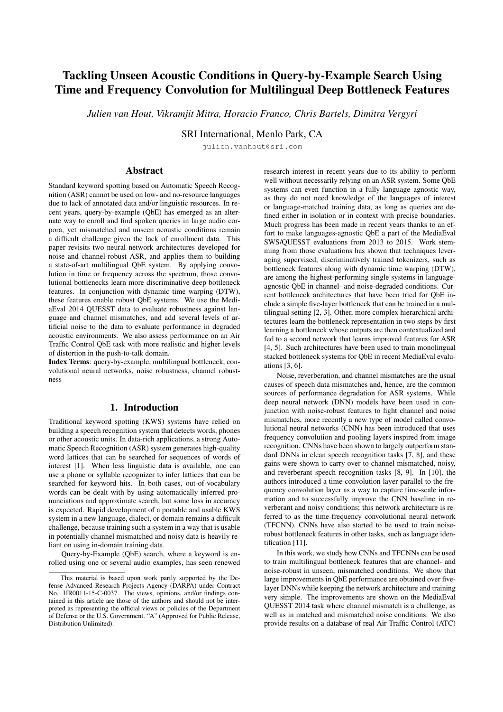# Tackling Unseen Acoustic Conditions in Query-by-Example Search Using Time and Frequency Convolution for Multilingual Deep Bottleneck Features

*Julien van Hout, Vikramjit Mitra, Horacio Franco, Chris Bartels, Dimitra Vergyri*

SRI International, Menlo Park, CA

julien.vanhout@sri.com

# Abstract

Standard keyword spotting based on Automatic Speech Recognition (ASR) cannot be used on low- and no-resource languages due to lack of annotated data and/or linguistic resources. In recent years, query-by-example (QbE) has emerged as an alternate way to enroll and find spoken queries in large audio corpora, yet mismatched and unseen acoustic conditions remain a difficult challenge given the lack of enrollment data. This paper revisits two neural network architectures developed for noise and channel-robust ASR, and applies them to building a state-of-art multilingual QbE system. By applying convolution in time or frequency across the spectrum, those convolutional bottlenecks learn more discriminative deep bottleneck features. In conjunction with dynamic time warping (DTW), these features enable robust QbE systems. We use the MediaEval 2014 QUESST data to evaluate robustness against language and channel mismatches, and add several levels of artificial noise to the data to evaluate performance in degraded acoustic environments. We also assess performance on an Air Traffic Control QbE task with more realistic and higher levels of distortion in the push-to-talk domain.

Index Terms: query-by-example, multilingual bottleneck, convolutional neural networks, noise robustness, channel robustness

# 1. Introduction

Traditional keyword spotting (KWS) systems have relied on building a speech recognition system that detects words, phones or other acoustic units. In data-rich applications, a strong Automatic Speech Recognition (ASR) system generates high-quality word lattices that can be searched for sequences of words of interest [1]. When less linguistic data is available, one can use a phone or syllable recognizer to infer lattices that can be searched for keyword hits. In both cases, out-of-vocabulary words can be dealt with by using automatically inferred pronunciations and approximate search, but some loss in accuracy is expected. Rapid development of a portable and usable KWS system in a new language, dialect, or domain remains a difficult challenge, because training such a system in a way that is usable in potentially channel mismatched and noisy data is heavily reliant on using in-domain training data.

Query-by-Example (QbE) search, where a keyword is enrolled using one or several audio examples, has seen renewed research interest in recent years due to its ability to perform well without necessarily relying on an ASR system. Some QbE systems can even function in a fully language agnostic way, as they do not need knowledge of the languages of interest or language-matched training data, as long as queries are defined either in isolation or in context with precise boundaries. Much progress has been made in recent years thanks to an effort to make languages-agnostic QbE a part of the MediaEval SWS/QUESST evaluations from 2013 to 2015. Work stemming from those evaluations has shown that techniques leveraging supervised, discriminatively trained tokenizers, such as bottleneck features along with dynamic time warping (DTW), are among the highest-performing single systems in languageagnostic QbE in channel- and noise-degraded conditions. Current bottleneck architectures that have been tried for QbE include a simple five-layer bottleneck that can be trained in a multilingual setting [2, 3]. Other, more complex hierarchical architectures learn the bottleneck representation in two steps by first learning a bottleneck whose outputs are then contextualized and fed to a second network that learns improved features for ASR [4, 5]. Such architectures have been used to train monolingual stacked bottleneck systems for QbE in recent MediaEval evaluations [3, 6].

Noise, reverberation, and channel mismatches are the usual causes of speech data mismatches and, hence, are the common sources of performance degradation for ASR systems. While deep neural network (DNN) models have been used in conjunction with noise-robust features to fight channel and noise mismatches, more recently a new type of model called convolutional neural networks (CNN) has been introduced that uses frequency convolution and pooling layers inspired from image recognition. CNNs have been shown to largely outperform standard DNNs in clean speech recognition tasks [7, 8], and these gains were shown to carry over to channel mismatched, noisy, and reverberant speech recognition tasks [8, 9]. In [10], the authors introduced a time-convolution layer parallel to the frequency convolution layer as a way to capture time-scale information and to successfully improve the CNN baseline in reverberant and noisy conditions; this network architecture is referred to as the time-frequency convolutional neural network (TFCNN). CNNs have also started to be used to train noiserobust bottleneck features in other tasks, such as language identification [11].

In this work, we study how CNNs and TFCNNs can be used to train multilingual bottleneck features that are channel- and noise-robust in unseen, mismatched conditions. We show that large improvements in QbE performance are obtained over fivelayer DNNs while keeping the network architecture and training very simple. The improvements are shown on the MediaEval QUESST 2014 task where channel mismatch is a challenge, as well as in matched and mismatched noise conditions. We also provide results on a database of real Air Traffic Control (ATC)

This material is based upon work partly supported by the Defense Advanced Research Projects Agency (DARPA) under Contract No. HR0011-15-C-0037. The views, opinions, and/or findings contained in this article are those of the authors and should not be interpreted as representing the official views or policies of the Department of Defense or the U.S. Government. "A" (Approved for Public Release, Distribution Unlimited).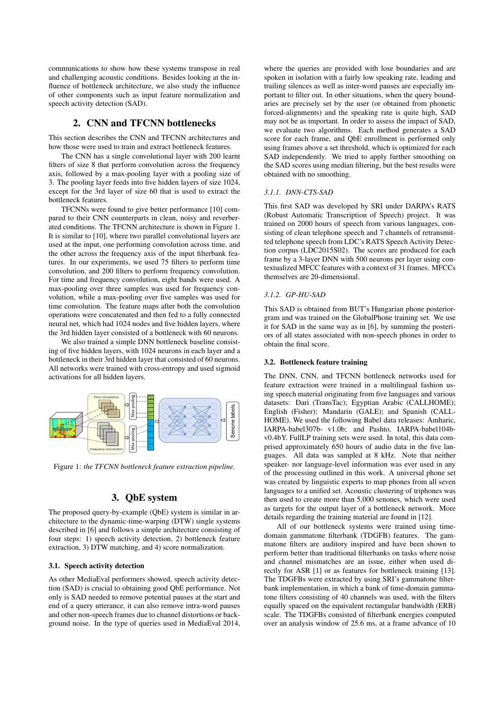communications to show how these systems transpose in real and challenging acoustic conditions. Besides looking at the influence of bottleneck architecture, we also study the influence of other components such as input feature normalization and speech activity detection (SAD).

### 2. CNN and TFCNN bottlenecks

This section describes the CNN and TFCNN architectures and how those were used to train and extract bottleneck features.

The CNN has a single convolutional layer with 200 learnt filters of size 8 that perform convolution across the frequency axis, followed by a max-pooling layer with a pooling size of 3. The pooling layer feeds into five hidden layers of size 1024, except for the 3rd layer of size 60 that is used to extract the bottleneck features.

TFCNNs were found to give better performance [10] compared to their CNN counterparts in clean, noisy and reverberated conditions. The TFCNN architecture is shown in Figure 1. It is similar to [10], where two parallel convolutional layers are used at the input, one performing convolution across time, and the other across the frequency axis of the input filterbank features. In our experiments, we used 75 filters to perform time convolution, and 200 filters to perform frequency convolution. For time and frequency convolution, eight bands were used. A max-pooling over three samples was used for frequency convolution, while a max-pooling over five samples was used for time convolution. The feature maps after both the convolution operations were concatenated and then fed to a fully connected neural net, which had 1024 nodes and five hidden layers, where the 3rd hidden layer consisted of a bottleneck with 60 neurons.

We also trained a simple DNN bottleneck baseline consisting of five hidden layers, with 1024 neurons in each layer and a bottleneck in their 3rd hidden layer that consisted of 60 neurons. All networks were trained with cross-entropy and used sigmoid activations for all hidden layers.



Figure 1: *the TFCNN bottleneck feature extraction pipeline.*

# 3. QbE system

The proposed query-by-example (QbE) system is similar in architecture to the dynamic-time-warping (DTW) single systems described in [6] and follows a simple architecture consisting of four steps: 1) speech activity detection, 2) bottleneck feature extraction, 3) DTW matching, and 4) score normalization.

#### 3.1. Speech activity detection

As other MediaEval performers showed, speech activity detection (SAD) is crucial to obtaining good QbE performance. Not only is SAD needed to remove potential pauses at the start and end of a query utterance, it can also remove intra-word pauses and other non-speech frames due to channel distortions or background noise. In the type of queries used in MediaEval 2014,

where the queries are provided with lose boundaries and are spoken in isolation with a fairly low speaking rate, leading and trailing silences as well as inter-word pauses are especially important to filter out. In other situations, when the query boundaries are precisely set by the user (or obtained from phonetic forced-alignments) and the speaking rate is quite high, SAD may not be as important. In order to assess the impact of SAD, we evaluate two algorithms. Each method generates a SAD score for each frame, and QbE enrollment is performed only using frames above a set threshold, which is optimized for each SAD independently. We tried to apply further smoothing on the SAD scores using median filtering, but the best results were obtained with no smoothing.

### *3.1.1. DNN-CTS-SAD*

This first SAD was developed by SRI under DARPA's RATS (Robust Automatic Transcription of Speech) project. It was trained on 2000 hours of speech from various languages, consisting of clean telephone speech and 7 channels of retransmitted telephone speech from LDC's RATS Speech Activity Detection corpus (LDC2015S02). The scores are produced for each frame by a 3-layer DNN with 500 neurons per layer using contextualized MFCC features with a context of 31 frames. MFCCs themselves are 20-dimensional.

#### *3.1.2. GP-HU-SAD*

This SAD is obtained from BUT's Hungarian phone posteriorgram and was trained on the GlobalPhone training set. We use it for SAD in the same way as in [6], by summing the posteriors of all states associated with non-speech phones in order to obtain the final score.

#### 3.2. Bottleneck feature training

The DNN, CNN, and TFCNN bottleneck networks used for feature extraction were trained in a multilingual fashion using speech material originating from five languages and various datasets: Dari (TransTac); Egyptian Arabic (CALLHOME); English (Fisher); Mandarin (GALE); and Spanish (CALL-HOME). We used the following Babel data releases: Amharic, IARPA-babel307b- v1.0b; and Pashto, IARPA-babel104bv0.4bY. FullLP training sets were used. In total, this data comprised approximately 650 hours of audio data in the five languages. All data was sampled at 8 kHz. Note that neither speaker- nor language-level information was ever used in any of the processing outlined in this work. A universal phone set was created by linguistic experts to map phones from all seven languages to a unified set. Acoustic clustering of triphones was then used to create more than 5,000 senones, which were used as targets for the output layer of a bottleneck network. More details regarding the training material are found in [12].

All of our bottleneck systems were trained using timedomain gammatone filterbank (TDGFB) features. The gammatone filters are auditory inspired and have been shown to perform better than traditional filterbanks on tasks where noise and channel mismatches are an issue, either when used directly for ASR [1] or as features for bottleneck training [13]. The TDGFBs were extracted by using SRI's gammatone filterbank implementation, in which a bank of time-domain gammatone filters consisting of 40 channels was used, with the filters equally spaced on the equivalent rectangular bandwidth (ERB) scale. The TDGFBs consisted of filterbank energies computed over an analysis window of 25.6 ms, at a frame advance of 10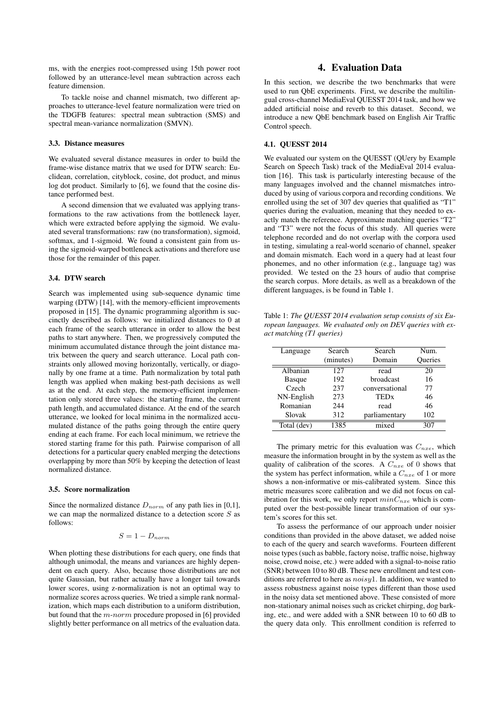ms, with the energies root-compressed using 15th power root followed by an utterance-level mean subtraction across each feature dimension.

To tackle noise and channel mismatch, two different approaches to utterance-level feature normalization were tried on the TDGFB features: spectral mean subtraction (SMS) and spectral mean-variance normalization (SMVN).

#### 3.3. Distance measures

We evaluated several distance measures in order to build the frame-wise distance matrix that we used for DTW search: Euclidean, correlation, cityblock, cosine, dot product, and minus log dot product. Similarly to [6], we found that the cosine distance performed best.

A second dimension that we evaluated was applying transformations to the raw activations from the bottleneck layer, which were extracted before applying the sigmoid. We evaluated several transformations: raw (no transformation), sigmoid, softmax, and 1-sigmoid. We found a consistent gain from using the sigmoid-warped bottleneck activations and therefore use those for the remainder of this paper.

#### 3.4. DTW search

Search was implemented using sub-sequence dynamic time warping (DTW) [14], with the memory-efficient improvements proposed in [15]. The dynamic programming algorithm is succinctly described as follows: we initialized distances to 0 at each frame of the search utterance in order to allow the best paths to start anywhere. Then, we progressively computed the minimum accumulated distance through the joint distance matrix between the query and search utterance. Local path constraints only allowed moving horizontally, vertically, or diagonally by one frame at a time. Path normalization by total path length was applied when making best-path decisions as well as at the end. At each step, the memory-efficient implementation only stored three values: the starting frame, the current path length, and accumulated distance. At the end of the search utterance, we looked for local minima in the normalized accumulated distance of the paths going through the entire query ending at each frame. For each local minimum, we retrieve the stored starting frame for this path. Pairwise comparison of all detections for a particular query enabled merging the detections overlapping by more than 50% by keeping the detection of least normalized distance.

#### 3.5. Score normalization

Since the normalized distance  $D_{norm}$  of any path lies in [0,1], we can map the normalized distance to a detection score S as follows:

$$
S=1-D_{norm}
$$

When plotting these distributions for each query, one finds that although unimodal, the means and variances are highly dependent on each query. Also, because those distributions are not quite Gaussian, but rather actually have a longer tail towards lower scores, using z-normalization is not an optimal way to normalize scores across queries. We tried a simple rank normalization, which maps each distribution to a uniform distribution, but found that the  $m\text{-}norm$  procedure proposed in [6] provided slightly better performance on all metrics of the evaluation data.

# 4. Evaluation Data

In this section, we describe the two benchmarks that were used to run QbE experiments. First, we describe the multilingual cross-channel MediaEval QUESST 2014 task, and how we added artificial noise and reverb to this dataset. Second, we introduce a new QbE benchmark based on English Air Traffic Control speech.

#### 4.1. QUESST 2014

We evaluated our system on the QUESST (QUery by Example Search on Speech Task) track of the MediaEval 2014 evaluation [16]. This task is particularly interesting because of the many languages involved and the channel mismatches introduced by using of various corpora and recording conditions. We enrolled using the set of 307 dev queries that qualified as "T1" queries during the evaluation, meaning that they needed to exactly match the reference. Approximate matching queries "T2" and "T3" were not the focus of this study. All queries were telephone recorded and do not overlap with the corpora used in testing, simulating a real-world scenario of channel, speaker and domain mismatch. Each word in a query had at least four phonemes, and no other information (e.g., language tag) was provided. We tested on the 23 hours of audio that comprise the search corpus. More details, as well as a breakdown of the different languages, is be found in Table 1.

Table 1: *The QUESST 2014 evaluation setup consists of six European languages. We evaluated only on DEV queries with exact matching (T1 queries)*

| Language      | Search<br>(minutes) | Search<br>Domain       | Num.<br><b>Oueries</b> |  |
|---------------|---------------------|------------------------|------------------------|--|
| Albanian      | 127                 | read                   | 20                     |  |
| <b>Basque</b> | 192                 | broadcast              | 16                     |  |
| Czech         | 237                 | conversational         | 77                     |  |
| NN-English    | 273                 | <b>TED<sub>x</sub></b> | 46                     |  |
| Romanian      | 244                 | read                   | 46                     |  |
| Slovak        | 312                 | parliamentary          | 102                    |  |
| Total (dev)   | 1385                | mixed                  | 307                    |  |

The primary metric for this evaluation was  $C_{nxe}$ , which measure the information brought in by the system as well as the quality of calibration of the scores. A  $C_{nxe}$  of 0 shows that the system has perfect information, while a  $C_{nxe}$  of 1 or more shows a non-informative or mis-calibrated system. Since this metric measures score calibration and we did not focus on calibration for this work, we only report  $minC_{nxe}$  which is computed over the best-possible linear transformation of our system's scores for this set.

To assess the performance of our approach under noisier conditions than provided in the above dataset, we added noise to each of the query and search waveforms. Fourteen different noise types (such as babble, factory noise, traffic noise, highway noise, crowd noise, etc.) were added with a signal-to-noise ratio (SNR) between 10 to 80 dB. These new enrollment and test conditions are referred to here as  $noisy1$ . In addition, we wanted to assess robustness against noise types different than those used in the noisy data set mentioned above. These consisted of more non-stationary animal noises such as cricket chirping, dog barking, etc., and were added with a SNR between 10 to 60 dB to the query data only. This enrollment condition is referred to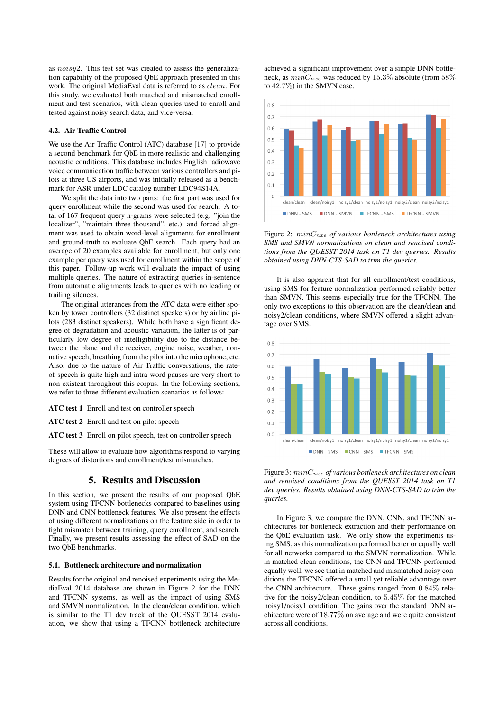as noisy2. This test set was created to assess the generalization capability of the proposed QbE approach presented in this work. The original MediaEval data is referred to as clean. For this study, we evaluated both matched and mismatched enrollment and test scenarios, with clean queries used to enroll and tested against noisy search data, and vice-versa.

### 4.2. Air Traffic Control

We use the Air Traffic Control (ATC) database [17] to provide a second benchmark for QbE in more realistic and challenging acoustic conditions. This database includes English radiowave voice communication traffic between various controllers and pilots at three US airports, and was initially released as a benchmark for ASR under LDC catalog number LDC94S14A.

We split the data into two parts: the first part was used for query enrollment while the second was used for search. A total of 167 frequent query n-grams were selected (e.g. "join the localizer", "maintain three thousand", etc.), and forced alignment was used to obtain word-level alignments for enrollment and ground-truth to evaluate QbE search. Each query had an average of 20 examples available for enrollment, but only one example per query was used for enrollment within the scope of this paper. Follow-up work will evaluate the impact of using multiple queries. The nature of extracting queries in-sentence from automatic alignments leads to queries with no leading or trailing silences.

The original utterances from the ATC data were either spoken by tower controllers (32 distinct speakers) or by airline pilots (283 distinct speakers). While both have a significant degree of degradation and acoustic variation, the latter is of particularly low degree of intelligibility due to the distance between the plane and the receiver, engine noise, weather, nonnative speech, breathing from the pilot into the microphone, etc. Also, due to the nature of Air Traffic conversations, the rateof-speech is quite high and intra-word pauses are very short to non-existent throughout this corpus. In the following sections, we refer to three different evaluation scenarios as follows:

ATC test 1 Enroll and test on controller speech

ATC test 2 Enroll and test on pilot speech

ATC test 3 Enroll on pilot speech, test on controller speech

These will allow to evaluate how algorithms respond to varying degrees of distortions and enrollment/test mismatches.

# 5. Results and Discussion

In this section, we present the results of our proposed QbE system using TFCNN bottlenecks compared to baselines using DNN and CNN bottleneck features. We also present the effects of using different normalizations on the feature side in order to fight mismatch between training, query enrollment, and search. Finally, we present results assessing the effect of SAD on the two QbE benchmarks.

#### 5.1. Bottleneck architecture and normalization

Results for the original and renoised experiments using the MediaEval 2014 database are shown in Figure 2 for the DNN and TFCNN systems, as well as the impact of using SMS and SMVN normalization. In the clean/clean condition, which is similar to the T1 dev track of the QUESST 2014 evaluation, we show that using a TFCNN bottleneck architecture

achieved a significant improvement over a simple DNN bottleneck, as  $minC_{nxe}$  was reduced by 15.3% absolute (from 58%) to 42.7%) in the SMVN case.



Figure 2: minCnxe *of various bottleneck architectures using SMS and SMVN normalizations on clean and renoised conditions from the QUESST 2014 task on T1 dev queries. Results obtained using DNN-CTS-SAD to trim the queries.*

It is also apparent that for all enrollment/test conditions, using SMS for feature normalization performed reliably better than SMVN. This seems especially true for the TFCNN. The only two exceptions to this observation are the clean/clean and noisy2/clean conditions, where SMVN offered a slight advantage over SMS.



Figure 3: minCnxe *of various bottleneck architectures on clean and renoised conditions from the QUESST 2014 task on T1 dev queries. Results obtained using DNN-CTS-SAD to trim the queries.*

In Figure 3, we compare the DNN, CNN, and TFCNN architectures for bottleneck extraction and their performance on the QbE evaluation task. We only show the experiments using SMS, as this normalization performed better or equally well for all networks compared to the SMVN normalization. While in matched clean conditions, the CNN and TFCNN performed equally well, we see that in matched and mismatched noisy conditions the TFCNN offered a small yet reliable advantage over the CNN architecture. These gains ranged from 0.84% relative for the noisy2/clean condition, to 5.45% for the matched noisy1/noisy1 condition. The gains over the standard DNN architecture were of 18.77% on average and were quite consistent across all conditions.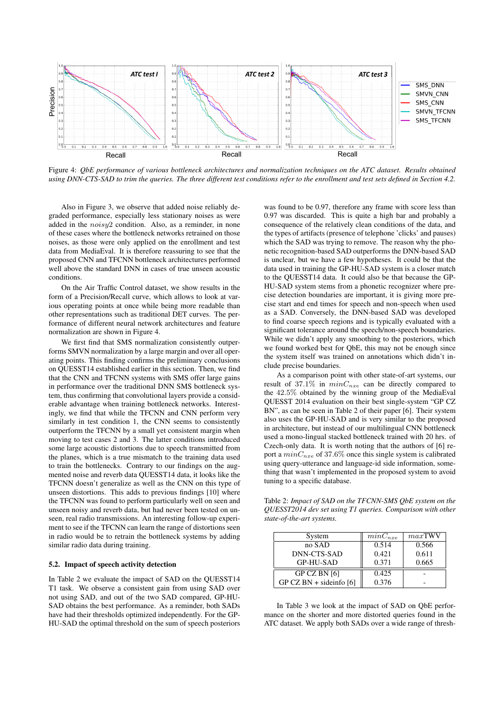

Figure 4: *QbE performance of various bottleneck architectures and normalization techniques on the ATC dataset. Results obtained using DNN-CTS-SAD to trim the queries. The three different test conditions refer to the enrollment and test sets defined in Section 4.2.*

Also in Figure 3, we observe that added noise reliably degraded performance, especially less stationary noises as were added in the *noisy*2 condition. Also, as a reminder, in none of these cases where the bottleneck networks retrained on those noises, as those were only applied on the enrollment and test data from MediaEval. It is therefore reassuring to see that the proposed CNN and TFCNN bottleneck architectures performed well above the standard DNN in cases of true unseen acoustic conditions.

On the Air Traffic Control dataset, we show results in the form of a Precision/Recall curve, which allows to look at various operating points at once while being more readable than other representations such as traditional DET curves. The performance of different neural network architectures and feature normalization are shown in Figure 4.

We first find that SMS normalization consistently outperforms SMVN normalization by a large margin and over all operating points. This finding confirms the preliminary conclusions on QUESST14 established earlier in this section. Then, we find that the CNN and TFCNN systems with SMS offer large gains in performance over the traditional DNN SMS bottleneck system, thus confirming that convolutional layers provide a considerable advantage when training bottleneck networks. Interestingly, we find that while the TFCNN and CNN perform very similarly in test condition 1, the CNN seems to consistently outperform the TFCNN by a small yet consistent margin when moving to test cases 2 and 3. The latter conditions introduced some large acoustic distortions due to speech transmitted from the planes, which is a true mismatch to the training data used to train the bottlenecks. Contrary to our findings on the augmented noise and reverb data QUESST14 data, it looks like the TFCNN doesn't generalize as well as the CNN on this type of unseen distortions. This adds to previous findings [10] where the TFCNN was found to perform particularly well on seen and unseen noisy and reverb data, but had never been tested on unseen, real radio transmissions. An interesting follow-up experiment to see if the TFCNN can learn the range of distortions seen in radio would be to retrain the bottleneck systems by adding similar radio data during training.

#### 5.2. Impact of speech activity detection

In Table 2 we evaluate the impact of SAD on the QUESST14 T1 task. We observe a consistent gain from using SAD over not using SAD, and out of the two SAD compared, GP-HU-SAD obtains the best performance. As a reminder, both SADs have had their thresholds optimized independently. For the GP-HU-SAD the optimal threshold on the sum of speech posteriors was found to be 0.97, therefore any frame with score less than 0.97 was discarded. This is quite a high bar and probably a consequence of the relatively clean conditions of the data, and the types of artifacts (presence of telephone 'clicks' and pauses) which the SAD was trying to remove. The reason why the phonetic recognition-based SAD outperforms the DNN-based SAD is unclear, but we have a few hypotheses. It could be that the data used in training the GP-HU-SAD system is a closer match to the QUESST14 data. It could also be that because the GP-HU-SAD system stems from a phonetic recognizer where precise detection boundaries are important, it is giving more precise start and end times for speech and non-speech when used as a SAD. Conversely, the DNN-based SAD was developed to find coarse speech regions and is typically evaluated with a significant tolerance around the speech/non-speech boundaries. While we didn't apply any smoothing to the posteriors, which we found worked best for QbE, this may not be enough since the system itself was trained on annotations which didn't include precise boundaries.

As a comparison point with other state-of-art systems, our result of 37.1% in  $minC_{nxe}$  can be directly compared to the 42.5% obtained by the winning group of the MediaEval QUESST 2014 evaluation on their best single-system "GP CZ BN", as can be seen in Table 2 of their paper [6]. Their system also uses the GP-HU-SAD and is very similar to the proposed in architecture, but instead of our multilingual CNN bottleneck used a mono-lingual stacked bottleneck trained with 20 hrs. of Czech-only data. It is worth noting that the authors of [6] report a  $minC_{nxe}$  of 37.6% once this single system is calibrated using query-utterance and language-id side information, something that wasn't implemented in the proposed system to avoid tuning to a specific database.

Table 2: *Impact of SAD on the TFCNN-SMS QbE system on the QUESST2014 dev set using T1 queries. Comparison with other state-of-the-art systems.*

| System                    | $minC_{nxe}$ | $max$ TWV |  |
|---------------------------|--------------|-----------|--|
| no SAD                    | 0.514        | 0.566     |  |
| DNN-CTS-SAD               | 0.421        | 0.611     |  |
| <b>GP-HU-SAD</b>          | 0.371        | 0.665     |  |
| GP CZ BN [6]              | 0.425        |           |  |
| GP CZ BN + sideinfo $[6]$ | 0.376        |           |  |

In Table 3 we look at the impact of SAD on QbE performance on the shorter and more distorted queries found in the ATC dataset. We apply both SADs over a wide range of thresh-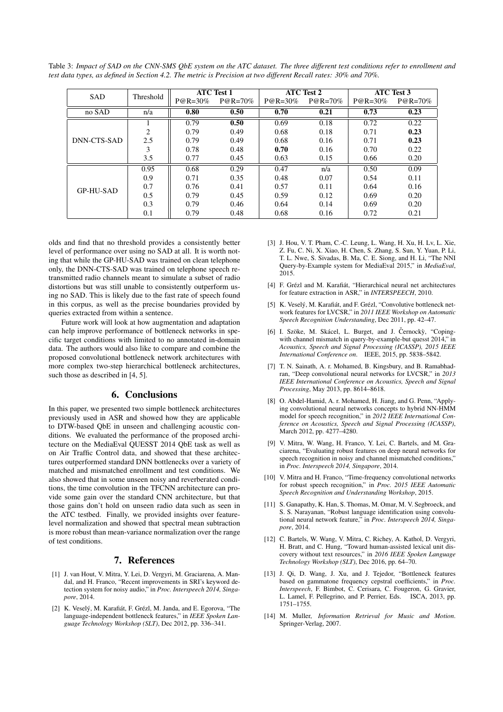Table 3: *Impact of SAD on the CNN-SMS QbE system on the ATC dataset. The three different test conditions refer to enrollment and test data types, as defined in Section 4.2. The metric is Precision at two different Recall rates: 30% and 70%.*

| <b>SAD</b>       | Threshold | <b>ATC Test 1</b> |           | <b>ATC Test 2</b> |           | <b>ATC Test 3</b> |           |
|------------------|-----------|-------------------|-----------|-------------------|-----------|-------------------|-----------|
|                  |           | $P@R=30%$         | $P@R=70%$ | $P@R=30%$         | $P@R=70%$ | $P@R=30%$         | $P@R=70%$ |
| no SAD           | n/a       | 0.80              | 0.50      | 0.70              | 0.21      | 0.73              | 0.23      |
| DNN-CTS-SAD      |           | 0.79              | 0.50      | 0.69              | 0.18      | 0.72              | 0.22      |
|                  | 2         | 0.79              | 0.49      | 0.68              | 0.18      | 0.71              | 0.23      |
|                  | 2.5       | 0.79              | 0.49      | 0.68              | 0.16      | 0.71              | 0.23      |
|                  | 3         | 0.78              | 0.48      | 0.70              | 0.16      | 0.70              | 0.22      |
|                  | 3.5       | 0.77              | 0.45      | 0.63              | 0.15      | 0.66              | 0.20      |
| <b>GP-HU-SAD</b> | 0.95      | 0.68              | 0.29      | 0.47              | n/a       | 0.50              | 0.09      |
|                  | 0.9       | 0.71              | 0.35      | 0.48              | 0.07      | 0.54              | 0.11      |
|                  | 0.7       | 0.76              | 0.41      | 0.57              | 0.11      | 0.64              | 0.16      |
|                  | 0.5       | 0.79              | 0.45      | 0.59              | 0.12      | 0.69              | 0.20      |
|                  | 0.3       | 0.79              | 0.46      | 0.64              | 0.14      | 0.69              | 0.20      |
|                  | 0.1       | 0.79              | 0.48      | 0.68              | 0.16      | 0.72              | 0.21      |

olds and find that no threshold provides a consistently better level of performance over using no SAD at all. It is worth noting that while the GP-HU-SAD was trained on clean telephone only, the DNN-CTS-SAD was trained on telephone speech retransmitted radio channels meant to simulate a subset of radio distortions but was still unable to consistently outperform using no SAD. This is likely due to the fast rate of speech found in this corpus, as well as the precise boundaries provided by queries extracted from within a sentence.

Future work will look at how augmentation and adaptation can help improve performance of bottleneck networks in specific target conditions with limited to no annotated in-domain data. The authors would also like to compare and combine the proposed convolutional bottleneck network architectures with more complex two-step hierarchical bottleneck architectures, such those as described in [4, 5].

### 6. Conclusions

In this paper, we presented two simple bottleneck architectures previously used in ASR and showed how they are applicable to DTW-based QbE in unseen and challenging acoustic conditions. We evaluated the performance of the proposed architecture on the MediaEval QUESST 2014 QbE task as well as on Air Traffic Control data, and showed that these architectures outperformed standard DNN bottlenecks over a variety of matched and mismatched enrollment and test conditions. We also showed that in some unseen noisy and reverberated conditions, the time convolution in the TFCNN architecture can provide some gain over the standard CNN architecture, but that those gains don't hold on unseen radio data such as seen in the ATC testbed. Finally, we provided insights over featurelevel normalization and showed that spectral mean subtraction is more robust than mean-variance normalization over the range of test conditions.

### 7. References

- [1] J. van Hout, V. Mitra, Y. Lei, D. Vergyri, M. Graciarena, A. Mandal, and H. Franco, "Recent improvements in SRI's keyword detection system for noisy audio," in *Proc. Interspeech 2014, Singapore*, 2014.
- [2] K. Veselý, M. Karafiát, F. Grézl, M. Janda, and E. Egorova, "The language-independent bottleneck features," in *IEEE Spoken Language Technology Workshop (SLT)*, Dec 2012, pp. 336–341.
- [3] J. Hou, V. T. Pham, C.-C. Leung, L. Wang, H. Xu, H. Lv, L. Xie, Z. Fu, C. Ni, X. Xiao, H. Chen, S. Zhang, S. Sun, Y. Yuan, P. Li, T. L. Nwe, S. Sivadas, B. Ma, C. E. Siong, and H. Li, "The NNI Query-by-Example system for MediaEval 2015," in *MediaEval*, 2015.
- [4] F. Grézl and M. Karafiát, "Hierarchical neural net architectures for feature extraction in ASR," in *INTERSPEECH*, 2010.
- [5] K. Veselý, M. Karafiát, and F. Grézl, "Convolutive bottleneck network features for LVCSR," in *2011 IEEE Workshop on Automatic Speech Recognition Understanding*, Dec 2011, pp. 42–47.
- [6] I. Szöke, M. Skácel, L. Burget, and J. Černockỳ, "Copingwith channel mismatch in query-by-example-but quesst 2014," in *Acoustics, Speech and Signal Processing (ICASSP), 2015 IEEE International Conference on*. IEEE, 2015, pp. 5838–5842.
- [7] T. N. Sainath, A. r. Mohamed, B. Kingsbury, and B. Ramabhadran, "Deep convolutional neural networks for LVCSR," in *2013 IEEE International Conference on Acoustics, Speech and Signal Processing*, May 2013, pp. 8614–8618.
- [8] O. Abdel-Hamid, A. r. Mohamed, H. Jiang, and G. Penn, "Applying convolutional neural networks concepts to hybrid NN-HMM model for speech recognition," in *2012 IEEE International Conference on Acoustics, Speech and Signal Processing (ICASSP)*, March 2012, pp. 4277–4280.
- [9] V. Mitra, W. Wang, H. Franco, Y. Lei, C. Bartels, and M. Graciarena, "Evaluating robust features on deep neural networks for speech recognition in noisy and channel mismatched conditions," in *Proc. Interspeech 2014, Singapore*, 2014.
- [10] V. Mitra and H. Franco, "Time-frequency convolutional networks for robust speech recognition," in *Proc. 2015 IEEE Automatic Speech Recognition and Understanding Workshop*, 2015.
- [11] S. Ganapathy, K. Han, S. Thomas, M. Omar, M. V. Segbroeck, and S. S. Narayanan, "Robust language identification using convolutional neural network feature," in *Proc. Interspeech 2014, Singapore*, 2014.
- [12] C. Bartels, W. Wang, V. Mitra, C. Richey, A. Kathol, D. Vergyri, H. Bratt, and C. Hung, "Toward human-assisted lexical unit discovery without text resources," in *2016 IEEE Spoken Language Technology Workshop (SLT)*, Dec 2016, pp. 64–70.
- [13] J. Qi, D. Wang, J. Xu, and J. Tejedor, "Bottleneck features based on gammatone frequency cepstral coefficients," in *Proc. Interspeech*, F. Bimbot, C. Cerisara, C. Fougeron, G. Gravier, L. Lamel, F. Pellegrino, and P. Perrier, Eds. ISCA, 2013, pp. 1751–1755.
- [14] M. Muller, *Information Retrieval for Music and Motion*. Springer-Verlag, 2007.